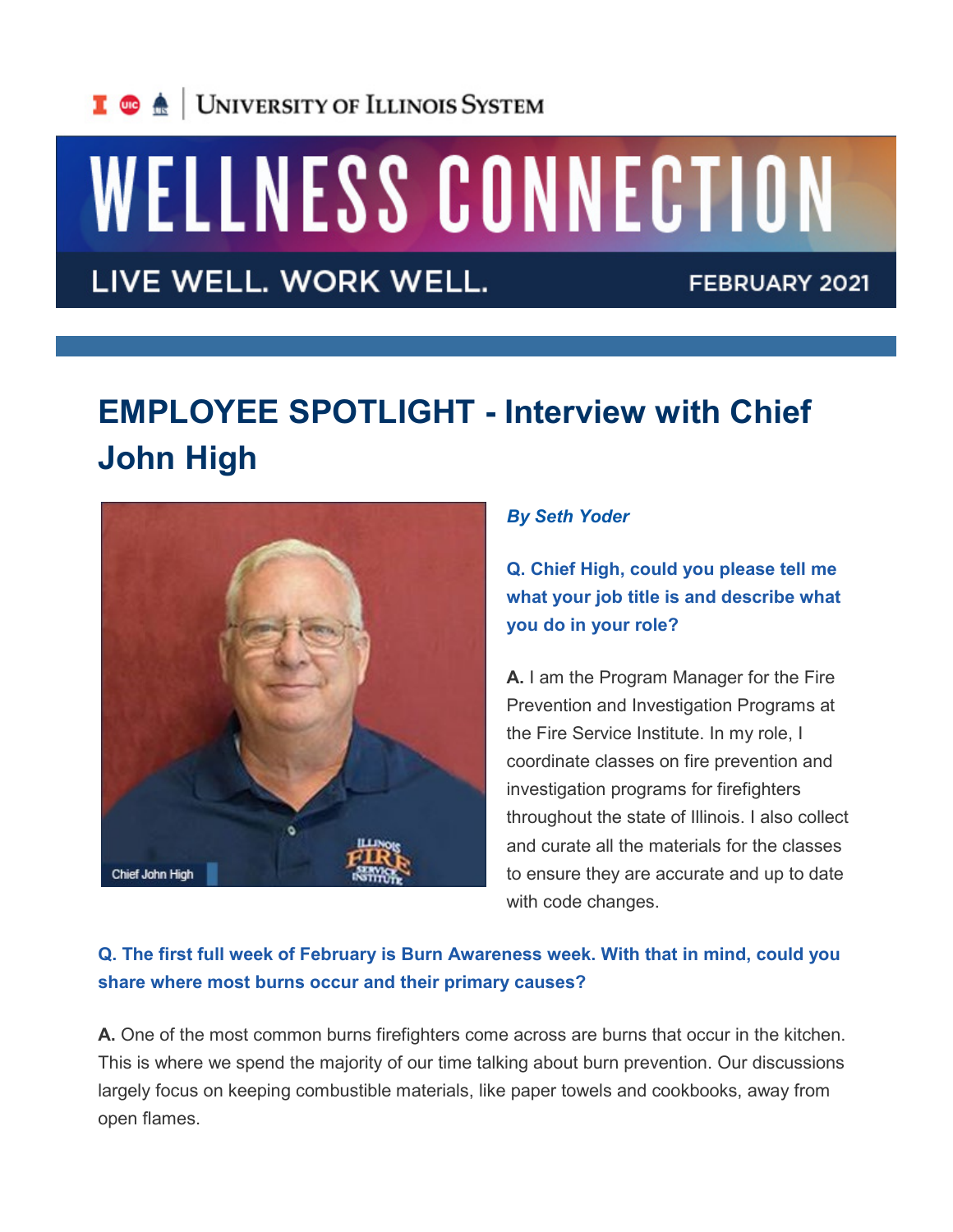

# WELLNESS CONNECTION

LIVE WELL. WORK WELL.

FEBRUARY 2021

## **EMPLOYEE SPOTLIGHT - Interview with Chief John High**



#### *By Seth Yoder*

**Q. Chief High, could you please tell me what your job title is and describe what you do in your role?**

**A.** I am the Program Manager for the Fire Prevention and Investigation Programs at the Fire Service Institute. In my role, I coordinate classes on fire prevention and investigation programs for firefighters throughout the state of Illinois. I also collect and curate all the materials for the classes to ensure they are accurate and up to date with code changes.

### **Q. The first full week of February is Burn Awareness week. With that in mind, could you share where most burns occur and their primary causes?**

**A.** One of the most common burns firefighters come across are burns that occur in the kitchen. This is where we spend the majority of our time talking about burn prevention. Our discussions largely focus on keeping combustible materials, like paper towels and cookbooks, away from open flames.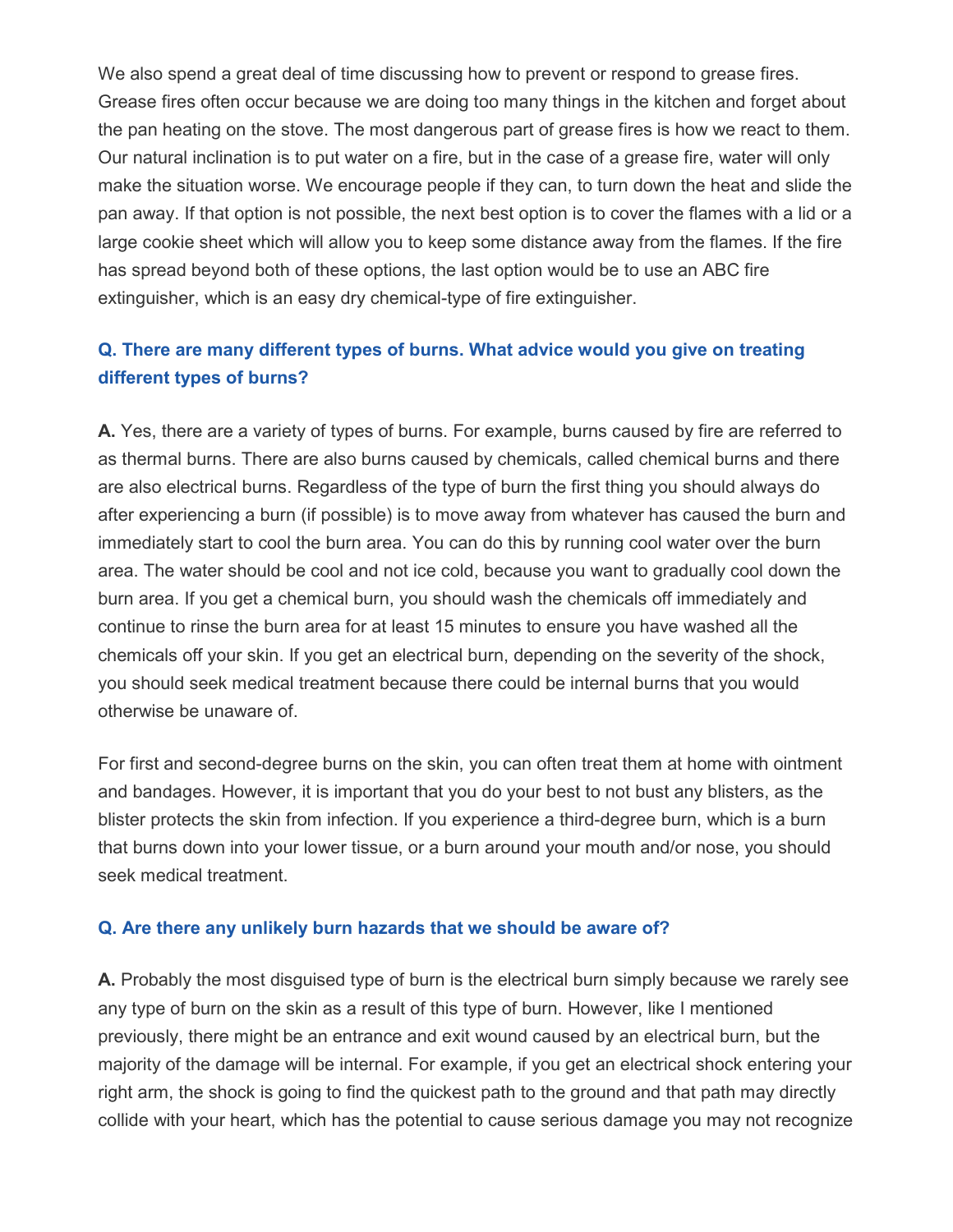We also spend a great deal of time discussing how to prevent or respond to grease fires. Grease fires often occur because we are doing too many things in the kitchen and forget about the pan heating on the stove. The most dangerous part of grease fires is how we react to them. Our natural inclination is to put water on a fire, but in the case of a grease fire, water will only make the situation worse. We encourage people if they can, to turn down the heat and slide the pan away. If that option is not possible, the next best option is to cover the flames with a lid or a large cookie sheet which will allow you to keep some distance away from the flames. If the fire has spread beyond both of these options, the last option would be to use an ABC fire extinguisher, which is an easy dry chemical-type of fire extinguisher.

#### **Q. There are many different types of burns. What advice would you give on treating different types of burns?**

**A.** Yes, there are a variety of types of burns. For example, burns caused by fire are referred to as thermal burns. There are also burns caused by chemicals, called chemical burns and there are also electrical burns. Regardless of the type of burn the first thing you should always do after experiencing a burn (if possible) is to move away from whatever has caused the burn and immediately start to cool the burn area. You can do this by running cool water over the burn area. The water should be cool and not ice cold, because you want to gradually cool down the burn area. If you get a chemical burn, you should wash the chemicals off immediately and continue to rinse the burn area for at least 15 minutes to ensure you have washed all the chemicals off your skin. If you get an electrical burn, depending on the severity of the shock, you should seek medical treatment because there could be internal burns that you would otherwise be unaware of.

For first and second-degree burns on the skin, you can often treat them at home with ointment and bandages. However, it is important that you do your best to not bust any blisters, as the blister protects the skin from infection. If you experience a third-degree burn, which is a burn that burns down into your lower tissue, or a burn around your mouth and/or nose, you should seek medical treatment.

#### **Q. Are there any unlikely burn hazards that we should be aware of?**

**A.** Probably the most disguised type of burn is the electrical burn simply because we rarely see any type of burn on the skin as a result of this type of burn. However, like I mentioned previously, there might be an entrance and exit wound caused by an electrical burn, but the majority of the damage will be internal. For example, if you get an electrical shock entering your right arm, the shock is going to find the quickest path to the ground and that path may directly collide with your heart, which has the potential to cause serious damage you may not recognize